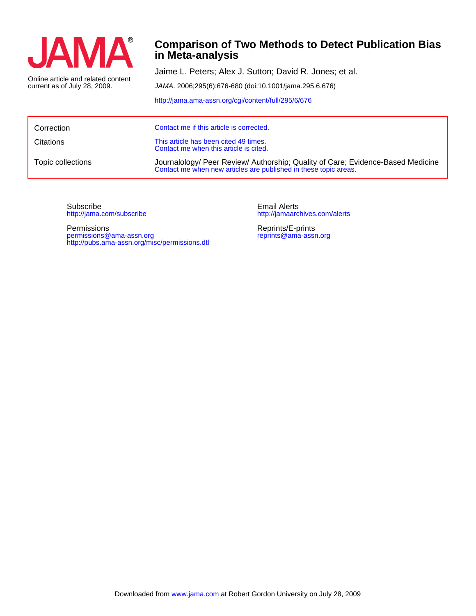

## **in Meta-analysis Comparison of Two Methods to Detect Publication Bias**

current as of July 28, 2009. Online article and related content Jaime L. Peters; Alex J. Sutton; David R. Jones; et al.

JAMA. 2006;295(6):676-680 (doi:10.1001/jama.295.6.676)

<http://jama.ama-assn.org/cgi/content/full/295/6/676>

| Correction        | Contact me if this article is corrected.                                                                                                            |
|-------------------|-----------------------------------------------------------------------------------------------------------------------------------------------------|
| <b>Citations</b>  | This article has been cited 49 times.<br>Contact me when this article is cited.                                                                     |
| Topic collections | Journalology/ Peer Review/ Authorship; Quality of Care; Evidence-Based Medicine<br>Contact me when new articles are published in these topic areas. |

<http://jama.com/subscribe> Subscribe

<http://pubs.ama-assn.org/misc/permissions.dtl> permissions@ama-assn.org Permissions

<http://jamaarchives.com/alerts> Email Alerts

[reprints@ama-assn.org](mailto:reprints@ama-assn.org) Reprints/E-prints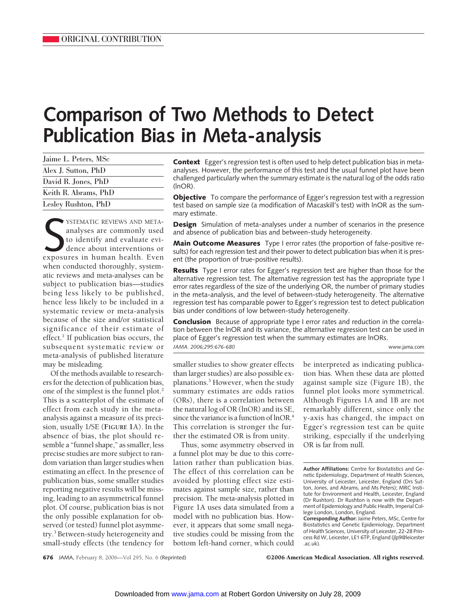# **Comparison of Two Methods to Detect Publication Bias in Meta-analysis**

| Jaime L. Peters, MSc |  |
|----------------------|--|
| Alex J. Sutton, PhD  |  |
| David R. Jones, PhD  |  |
| Keith R. Abrams, PhD |  |
| Lesley Rushton, PhD  |  |

SISTEMATIC REVIEWS AND META-<br>
analyses are commonly used<br>
to identify and evaluate evi-<br>
dence about interventions or<br>
exposures in human health. Even YSTEMATIC REVIEWS AND METAanalyses are commonly used to identify and evaluate evidence about interventions or when conducted thoroughly, systematic reviews and meta-analyses can be subject to publication bias—studies being less likely to be published, hence less likely to be included in a systematic review or meta-analysis because of the size and/or statistical significance of their estimate of effect.<sup>1</sup> If publication bias occurs, the subsequent systematic review or meta-analysis of published literature may be misleading.

Of the methods available to researchers for the detection of publication bias, one of the simplest is the funnel plot.<sup>2</sup> This is a scatterplot of the estimate of effect from each study in the metaanalysis against a measure of its precision, usually 1/SE (**FIGURE 1**A). In the absence of bias, the plot should resemble a "funnel shape," as smaller, less precise studies are more subject to random variation than larger studies when estimating an effect. In the presence of publication bias, some smaller studies reporting negative results will be missing, leading to an asymmetrical funnel plot. Of course, publication bias is not the only possible explanation for observed (or tested) funnel plot asymmetry.<sup>3</sup> Between-study heterogeneity and small-study effects (the tendency for

**Context** Egger's regression test is often used to help detect publication bias in metaanalyses. However, the performance of this test and the usual funnel plot have been challenged particularly when the summary estimate is the natural log of the odds ratio (lnOR).

**Objective** To compare the performance of Egger's regression test with a regression test based on sample size (a modification of Macaskill's test) with lnOR as the summary estimate.

**Design** Simulation of meta-analyses under a number of scenarios in the presence and absence of publication bias and between-study heterogeneity.

**Main Outcome Measures** Type I error rates (the proportion of false-positive results) for each regression test and their power to detect publication bias when it is present (the proportion of true-positive results).

**Results** Type I error rates for Egger's regression test are higher than those for the alternative regression test. The alternative regression test has the appropriate type I error rates regardless of the size of the underlying OR, the number of primary studies in the meta-analysis, and the level of between-study heterogeneity. The alternative regression test has comparable power to Egger's regression test to detect publication bias under conditions of low between-study heterogeneity.

**Conclusion** Because of appropriate type I error rates and reduction in the correlation between the lnOR and its variance, the alternative regression test can be used in place of Egger's regression test when the summary estimates are lnORs. *JAMA. 2006;295:676-680* www.jama.com

smaller studies to show greater effects than larger studies) are also possible explanations.3 However, when the study summary estimates are odds ratios (ORs), there is a correlation between the natural log of OR (lnOR) and its SE, since the variance is a function of lnOR.<sup>4</sup> This correlation is stronger the further the estimated OR is from unity.

Thus, some asymmetry observed in a funnel plot may be due to this correlation rather than publication bias. The effect of this correlation can be avoided by plotting effect size estimates against sample size, rather than precision. The meta-analysis plotted in Figure 1A uses data simulated from a model with no publication bias. However, it appears that some small negative studies could be missing from the bottom left-hand corner, which could

be interpreted as indicating publication bias. When these data are plotted against sample size (Figure 1B), the funnel plot looks more symmetrical. Although Figures 1A and 1B are not remarkably different, since only the y-axis has changed, the impact on Egger's regression test can be quite striking, especially if the underlying OR is far from null.

**Author Affiliations:** Centre for Biostatistics and Genetic Epidemiology, Department of Health Sciences, University of Leicester, Leicester, England (Drs Sutton, Jones, and Abrams, and Ms Peters); MRC Institute for Environment and Health, Leicester, England (Dr Rushton). Dr Rushton is now with the Department of Epidemiology and Public Health, Imperial College London, London, England.

**676** JAMA, February 8, 2006—Vol 295, No. 6 (Reprinted) ©2006 American Medical Association. All rights reserved.

**Corresponding Author:** Jaime Peters, MSc, Centre for Biostatistics and Genetic Epidemiology, Department of Health Sciences, University of Leicester, 22-28 Princess Rd W, Leicester, LE1 6TP, England (jlp9@leicester .ac.uk).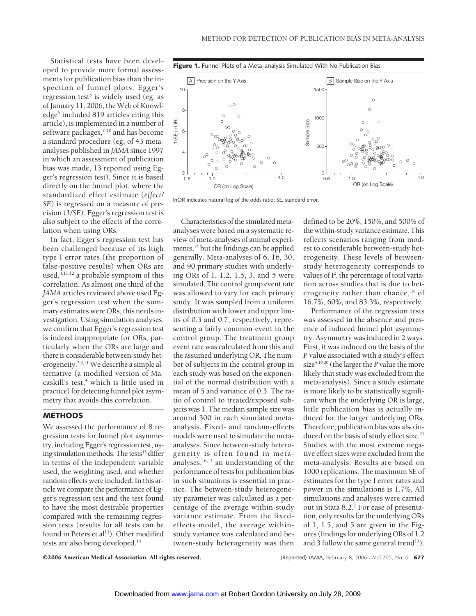Statistical tests have been developed to provide more formal assessments for publication bias than the inspection of funnel plots. Egger's regression test<sup>5</sup> is widely used (eg, as of January 11, 2006, the Web of Knowledge<sup>6</sup> included 819 articles citing this article), is implemented in a number of software packages,<sup>7-10</sup> and has become a standard procedure (eg, of 43 metaanalyses published in *JAMA* since 1997 in which an assessment of publication bias was made, 13 reported using Egger's regression test). Since it is based directly on the funnel plot, where the standardized effect estimate (*effect/ SE*) is regressed on a measure of precision (*1/SE*), Egger's regression test is also subject to the effects of the correlation when using ORs.

In fact, Egger's regression test has been challenged because of its high type I error rates (the proportion of false-positive results) when ORs are used, $3,11,12$  a probable symptom of this correlation. As almost one third of the *JAMA* articles reviewed above used Egger's regression test when the summary estimates were ORs, this needs investigation. Using simulation analyses, we confirm that Egger's regression test is indeed inappropriate for ORs, particularly when the ORs are large and there is considerable between-study heterogeneity.3,4,11 We describe a simple alternative (a modified version of Macaskill's test,<sup>4</sup> which is little used in practice) for detecting funnel plot asymmetry that avoids this correlation.

#### **METHODS**

We assessed the performance of 8 regression tests for funnel plot asymmetry, including Egger's regression test, using simulation methods. The tests<sup>13</sup> differ in terms of the independent variable used, the weighting used, and whether random effects were included. In this article we compare the performance of Egger's regression test and the test found to have the most desirable properties compared with the remaining regression tests (results for all tests can be found in Peters et  $al<sup>13</sup>$ ). Other modified tests are also being developed.14



lnOR indicates natural log of the odds ratio; SE, standard error.

Characteristics of the simulated metaanalyses were based on a systematic review of meta-analyses of animal experiments,<sup>15</sup> but the findings can be applied generally. Meta-analyses of 6, 16, 30, and 90 primary studies with underlying ORs of 1, 1.2, 1.5, 3, and 5 were simulated. The control group event rate was allowed to vary for each primary study. It was sampled from a uniform distribution with lower and upper limits of 0.3 and 0.7, respectively, representing a fairly common event in the control group. The treatment group event rate was calculated from this and the assumed underlying OR. The number of subjects in the control group in each study was based on the exponential of the normal distribution with a mean of 5 and variance of 0.3. The ratio of control to treated/exposed subjects was 1. The median sample size was around 300 in each simulated metaanalysis. Fixed- and random-effects models were used to simulate the metaanalyses. Since between-study heterogeneity is often found in metaanalyses, $16,17$  an understanding of the performance of tests for publication bias in such situations is essential in practice. The between-study heterogeneity parameter was calculated as a percentage of the average within-study variance estimate. From the fixedeffects model, the average withinstudy variance was calculated and between-study heterogeneity was then

defined to be 20%, 150%, and 500% of the within-study variance estimate. This reflects scenarios ranging from modest to considerable between-study heterogeneity. These levels of betweenstudy heterogeneity corresponds to values of I<sup>2</sup>, the percentage of total variation across studies that is due to heterogeneity rather than chance,<sup>18</sup> of 16.7%, 60%, and 83.3%, respectively.

Performance of the regression tests was assessed in the absence and presence of induced funnel plot asymmetry. Asymmetry was induced in 2 ways. First, it was induced on the basis of the *P* value associated with a study's effect size<sup>4,19,20</sup> (the larger the *P* value the more likely that study was excluded from the meta-analysis). Since a study estimate is more likely to be statistically significant when the underlying OR is large, little publication bias is actually induced for the larger underlying ORs. Therefore, publication bias was also induced on the basis of study effect size.<sup>21</sup> Studies with the most extreme negative effect sizes were excluded from the meta-analysis. Results are based on 1000 replications. The maximum SE of estimates for the type I error rates and power in the simulations is 1.7%. All simulations and analyses were carried out in Stata 8.2.<sup>7</sup> For ease of presentation, only results for the underlying ORs of 1, 1.5, and 5 are given in the Figures (findings for underlying ORs of 1.2 and 3 follow the same general trend<sup>13</sup>).

©2006 American Medical Association. All rights reserved. (Reprinted) JAMA, February 8, 2006—Vol 295, No. 6 **677**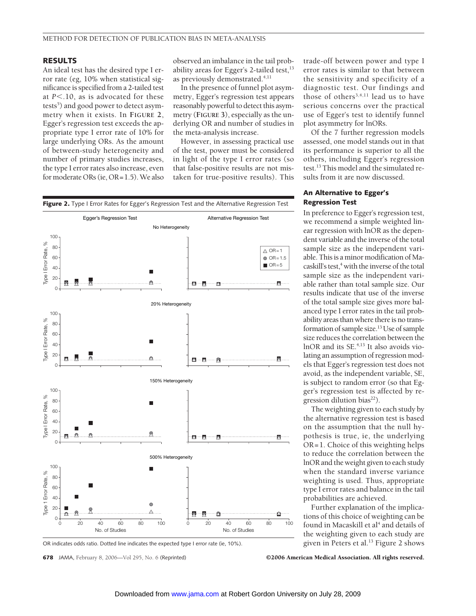#### **RESULTS**

An ideal test has the desired type I error rate (eg, 10% when statistical significance is specified from a 2-tailed test at  $P \le 10$ , as is advocated for these tests<sup>5</sup>) and good power to detect asymmetry when it exists. In **FIGURE 2**, Egger's regression test exceeds the appropriate type I error rate of 10% for large underlying ORs. As the amount of between-study heterogeneity and number of primary studies increases, the type I error rates also increase, even for moderate ORs (ie, OR=1.5).We also

observed an imbalance in the tail probability areas for Egger's 2-tailed test, $^{13}$ as previously demonstrated.<sup>4,11</sup>

In the presence of funnel plot asymmetry, Egger's regression test appears reasonably powerful to detect this asymmetry (**FIGURE 3**), especially as the underlying OR and number of studies in the meta-analysis increase.

However, in assessing practical use of the test, power must be considered in light of the type I error rates (so that false-positive results are not mistaken for true-positive results). This



OR indicates odds ratio. Dotted line indicates the expected type I error rate (ie, 10%).

**678** JAMA, February 8, 2006—Vol 295, No. 6 (Reprinted) ©2006 American Medical Association. All rights reserved.

trade-off between power and type I error rates is similar to that between the sensitivity and specificity of a diagnostic test. Our findings and those of others<sup>3,4,11</sup> lead us to have serious concerns over the practical use of Egger's test to identify funnel plot asymmetry for lnORs.

Of the 7 further regression models assessed, one model stands out in that its performance is superior to all the others, including Egger's regression test.13 This model and the simulated results from it are now discussed.

### **An Alternative to Egger's Regression Test**

In preference to Egger's regression test, we recommend a simple weighted linear regression with lnOR as the dependent variable and the inverse of the total sample size as the independent variable. This is a minor modification of Macaskill's test, $4$  with the inverse of the total sample size as the independent variable rather than total sample size. Our results indicate that use of the inverse of the total sample size gives more balanced type I error rates in the tail probability areas than where there is no transformation of sample size.13 Use of sample size reduces the correlation between the lnOR and its SE.4,13 It also avoids violating an assumption of regression models that Egger's regression test does not avoid, as the independent variable, SE, is subject to random error (so that Egger's regression test is affected by regression dilution bias $^{22}$ ).

The weighting given to each study by the alternative regression test is based on the assumption that the null hypothesis is true, ie, the underlying OR=1. Choice of this weighting helps to reduce the correlation between the lnOR and the weight given to each study when the standard inverse variance weighting is used. Thus, appropriate type I error rates and balance in the tail probabilities are achieved.

Further explanation of the implications of this choice of weighting can be found in Macaskill et al<sup>4</sup> and details of the weighting given to each study are given in Peters et al.<sup>13</sup> Figure 2 shows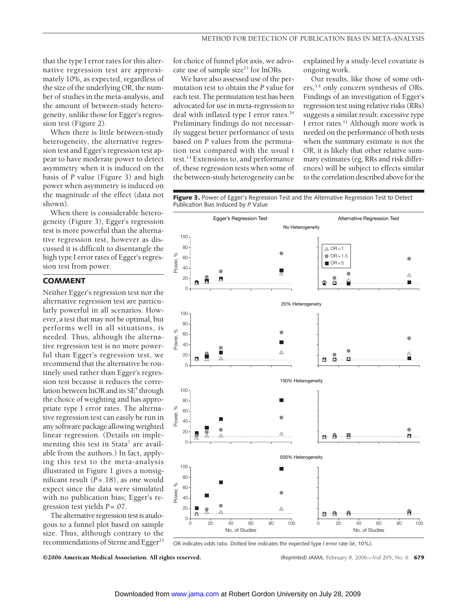that the type I error rates for this alternative regression test are approximately 10%, as expected, regardless of the size of the underlying OR, the number of studies in the meta-analysis, and the amount of between-study heterogeneity, unlike those for Egger's regression test (Figure 2).

When there is little between-study heterogeneity, the alternative regression test and Egger's regression test appear to have moderate power to detect asymmetry when it is induced on the basis of *P* value (Figure 3) and high power when asymmetry is induced on the magnitude of the effect (data not shown).

When there is considerable heterogeneity (Figure 3), Egger's regression test is more powerful than the alternative regression test, however as discussed it is difficult to disentangle the high type I error rates of Egger's regression test from power.

### **COMMENT**

Neither Egger's regression test nor the alternative regression test are particularly powerful in all scenarios. However, a test that may not be optimal, but performs well in all situations, is needed. Thus, although the alternative regression test is no more powerful than Egger's regression test, we recommend that the alternative be routinely used rather than Egger's regression test because it reduces the correlation between  $lnOR$  and its  $SE<sup>4</sup>$  through the choice of weighting and has appropriate type I error rates. The alternative regression test can easily be run in any software package allowing weighted linear regression. (Details on implementing this test in Stata<sup>7</sup> are available from the authors.) In fact, applying this test to the meta-analysis illustrated in Figure 1 gives a nonsignificant result (*P*=.18), as one would expect since the data were simulated with no publication bias; Egger's regression test yields *P*=.07.

The alternative regression testis analogous to a funnel plot based on sample size. Thus, although contrary to the recommendations of Sterne and Egger<sup>23</sup> for choice of funnel plot axis, we advocate use of sample size<sup>13</sup> for lnORs.

We have also assessed use of the permutation test to obtain the *P* value for each test. The permutation test has been advocated for use in meta-regression to deal with inflated type I error rates.<sup>24</sup> Preliminary findings do not necessarily suggest better performance of tests based on *P* values from the permutation test compared with the usual *t* test.13 Extensions to, and performance of, these regression tests when some of the between-study heterogeneity can be explained by a study-level covariate is ongoing work.

Our results, like those of some others,<sup>3,4</sup> only concern synthesis of ORs. Findings of an investigation of Egger's regression test using relative risks (RRs) suggests a similar result: excessive type I error rates.<sup>11</sup> Although more work is needed on the performance of both tests when the summary estimate is not the OR, it is likely that other relative summary estimates (eg, RRs and risk differences) will be subject to effects similar to the correlation described above for the

Figure 3. Power of Egger's Regression Test and the Alternative Regression Test to Detect Publication Bias Induced by *P* Value



OR indicates odds ratio. Dotted line indicates the expected type I error rate (ie, 10%).

©2006 American Medical Association. All rights reserved. (Reprinted) JAMA, February 8, 2006—Vol 295, No. 6 **679**